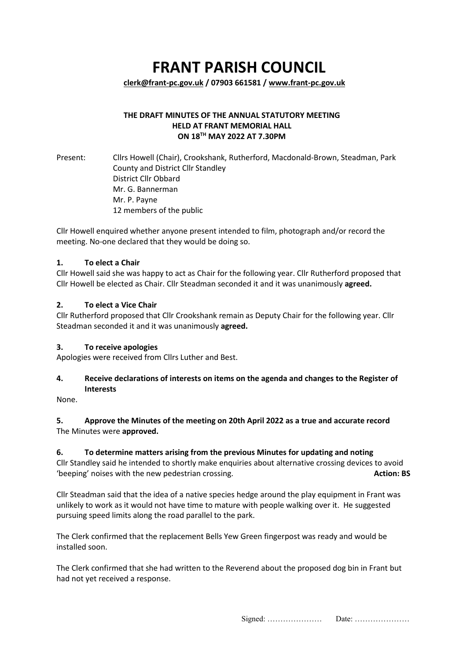# **FRANT PARISH COUNCIL**

**[clerk@frant-pc.gov.uk](mailto:clerk@frant-pc.gov.uk) / 07903 661581 [/ www.frant-pc.gov.uk](http://www.frant-pc.gov.uk/)**

## **THE DRAFT MINUTES OF THE ANNUAL STATUTORY MEETING HELD AT FRANT MEMORIAL HALL ON 18TH MAY 2022 AT 7.30PM**

Present: Cllrs Howell (Chair), Crookshank, Rutherford, Macdonald-Brown, Steadman, Park County and District Cllr Standley District Cllr Obbard Mr. G. Bannerman Mr. P. Payne 12 members of the public

Cllr Howell enquired whether anyone present intended to film, photograph and/or record the meeting. No-one declared that they would be doing so.

#### **1. To elect a Chair**

Cllr Howell said she was happy to act as Chair for the following year. Cllr Rutherford proposed that Cllr Howell be elected as Chair. Cllr Steadman seconded it and it was unanimously **agreed.**

#### **2. To elect a Vice Chair**

Cllr Rutherford proposed that Cllr Crookshank remain as Deputy Chair for the following year. Cllr Steadman seconded it and it was unanimously **agreed.**

#### **3. To receive apologies**

Apologies were received from Cllrs Luther and Best.

## **4. Receive declarations of interests on items on the agenda and changes to the Register of Interests**

None.

## **5. Approve the Minutes of the meeting on 20th April 2022 as a true and accurate record**  The Minutes were **approved.**

## **6. To determine matters arising from the previous Minutes for updating and noting**

Cllr Standley said he intended to shortly make enquiries about alternative crossing devices to avoid 'beeping' noises with the new pedestrian crossing. **Action: BS**

Cllr Steadman said that the idea of a native species hedge around the play equipment in Frant was unlikely to work as it would not have time to mature with people walking over it. He suggested pursuing speed limits along the road parallel to the park.

The Clerk confirmed that the replacement Bells Yew Green fingerpost was ready and would be installed soon.

The Clerk confirmed that she had written to the Reverend about the proposed dog bin in Frant but had not yet received a response.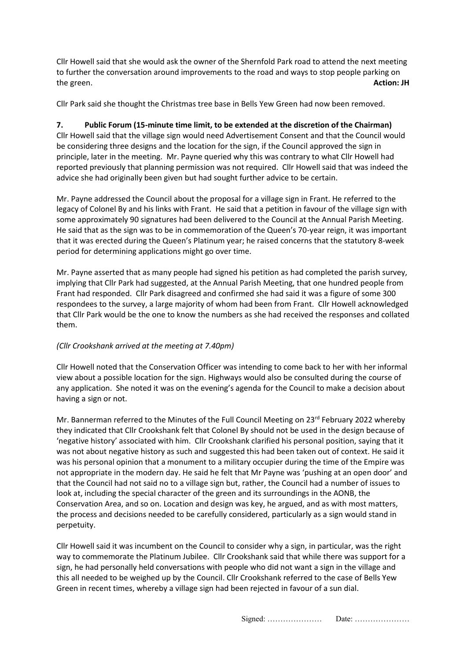Cllr Howell said that she would ask the owner of the Shernfold Park road to attend the next meeting to further the conversation around improvements to the road and ways to stop people parking on the green. **Action: JH**

Cllr Park said she thought the Christmas tree base in Bells Yew Green had now been removed.

## **7. Public Forum (15-minute time limit, to be extended at the discretion of the Chairman)**  Cllr Howell said that the village sign would need Advertisement Consent and that the Council would be considering three designs and the location for the sign, if the Council approved the sign in principle, later in the meeting. Mr. Payne queried why this was contrary to what Cllr Howell had reported previously that planning permission was not required. Cllr Howell said that was indeed the advice she had originally been given but had sought further advice to be certain.

Mr. Payne addressed the Council about the proposal for a village sign in Frant. He referred to the legacy of Colonel By and his links with Frant. He said that a petition in favour of the village sign with some approximately 90 signatures had been delivered to the Council at the Annual Parish Meeting. He said that as the sign was to be in commemoration of the Queen's 70-year reign, it was important that it was erected during the Queen's Platinum year; he raised concerns that the statutory 8-week period for determining applications might go over time.

Mr. Payne asserted that as many people had signed his petition as had completed the parish survey, implying that Cllr Park had suggested, at the Annual Parish Meeting, that one hundred people from Frant had responded. Cllr Park disagreed and confirmed she had said it was a figure of some 300 respondees to the survey, a large majority of whom had been from Frant. Cllr Howell acknowledged that Cllr Park would be the one to know the numbers as she had received the responses and collated them.

# *(Cllr Crookshank arrived at the meeting at 7.40pm)*

Cllr Howell noted that the Conservation Officer was intending to come back to her with her informal view about a possible location for the sign. Highways would also be consulted during the course of any application. She noted it was on the evening's agenda for the Council to make a decision about having a sign or not.

Mr. Bannerman referred to the Minutes of the Full Council Meeting on  $23^{\text{rd}}$  February 2022 whereby they indicated that Cllr Crookshank felt that Colonel By should not be used in the design because of 'negative history' associated with him. Cllr Crookshank clarified his personal position, saying that it was not about negative history as such and suggested this had been taken out of context. He said it was his personal opinion that a monument to a military occupier during the time of the Empire was not appropriate in the modern day. He said he felt that Mr Payne was 'pushing at an open door' and that the Council had not said no to a village sign but, rather, the Council had a number of issues to look at, including the special character of the green and its surroundings in the AONB, the Conservation Area, and so on. Location and design was key, he argued, and as with most matters, the process and decisions needed to be carefully considered, particularly as a sign would stand in perpetuity.

Cllr Howell said it was incumbent on the Council to consider why a sign, in particular, was the right way to commemorate the Platinum Jubilee. Cllr Crookshank said that while there was support for a sign, he had personally held conversations with people who did not want a sign in the village and this all needed to be weighed up by the Council. Cllr Crookshank referred to the case of Bells Yew Green in recent times, whereby a village sign had been rejected in favour of a sun dial.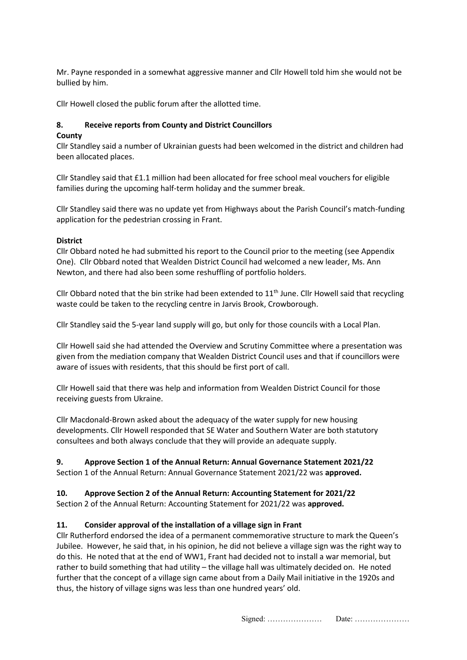Mr. Payne responded in a somewhat aggressive manner and Cllr Howell told him she would not be bullied by him.

Cllr Howell closed the public forum after the allotted time.

## **8. Receive reports from County and District Councillors**

## **County**

Cllr Standley said a number of Ukrainian guests had been welcomed in the district and children had been allocated places.

Cllr Standley said that £1.1 million had been allocated for free school meal vouchers for eligible families during the upcoming half-term holiday and the summer break.

Cllr Standley said there was no update yet from Highways about the Parish Council's match-funding application for the pedestrian crossing in Frant.

#### **District**

Cllr Obbard noted he had submitted his report to the Council prior to the meeting (see Appendix One).Cllr Obbard noted that Wealden District Council had welcomed a new leader, Ms. Ann Newton, and there had also been some reshuffling of portfolio holders.

Cllr Obbard noted that the bin strike had been extended to  $11<sup>th</sup>$  June. Cllr Howell said that recycling waste could be taken to the recycling centre in Jarvis Brook, Crowborough.

Cllr Standley said the 5-year land supply will go, but only for those councils with a Local Plan.

Cllr Howell said she had attended the Overview and Scrutiny Committee where a presentation was given from the mediation company that Wealden District Council uses and that if councillors were aware of issues with residents, that this should be first port of call.

Cllr Howell said that there was help and information from Wealden District Council for those receiving guests from Ukraine.

Cllr Macdonald-Brown asked about the adequacy of the water supply for new housing developments. Cllr Howell responded that SE Water and Southern Water are both statutory consultees and both always conclude that they will provide an adequate supply.

## **9. Approve Section 1 of the Annual Return: Annual Governance Statement 2021/22**

Section 1 of the Annual Return: Annual Governance Statement 2021/22 was **approved.**

## **10. Approve Section 2 of the Annual Return: Accounting Statement for 2021/22**

Section 2 of the Annual Return: Accounting Statement for 2021/22 was **approved.**

## **11. Consider approval of the installation of a village sign in Frant**

Cllr Rutherford endorsed the idea of a permanent commemorative structure to mark the Queen's Jubilee. However, he said that, in his opinion, he did not believe a village sign was the right way to do this. He noted that at the end of WW1, Frant had decided not to install a war memorial, but rather to build something that had utility – the village hall was ultimately decided on. He noted further that the concept of a village sign came about from a Daily Mail initiative in the 1920s and thus, the history of village signs was less than one hundred years' old.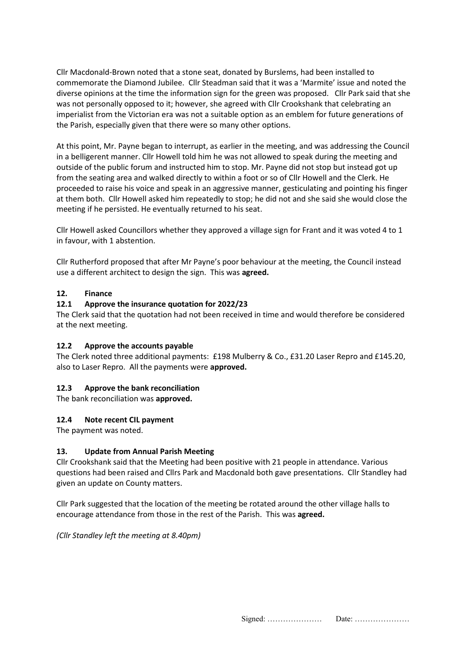Cllr Macdonald-Brown noted that a stone seat, donated by Burslems, had been installed to commemorate the Diamond Jubilee. Cllr Steadman said that it was a 'Marmite' issue and noted the diverse opinions at the time the information sign for the green was proposed. Cllr Park said that she was not personally opposed to it; however, she agreed with Cllr Crookshank that celebrating an imperialist from the Victorian era was not a suitable option as an emblem for future generations of the Parish, especially given that there were so many other options.

At this point, Mr. Payne began to interrupt, as earlier in the meeting, and was addressing the Council in a belligerent manner. Cllr Howell told him he was not allowed to speak during the meeting and outside of the public forum and instructed him to stop. Mr. Payne did not stop but instead got up from the seating area and walked directly to within a foot or so of Cllr Howell and the Clerk. He proceeded to raise his voice and speak in an aggressive manner, gesticulating and pointing his finger at them both. Cllr Howell asked him repeatedly to stop; he did not and she said she would close the meeting if he persisted. He eventually returned to his seat.

Cllr Howell asked Councillors whether they approved a village sign for Frant and it was voted 4 to 1 in favour, with 1 abstention.

Cllr Rutherford proposed that after Mr Payne's poor behaviour at the meeting, the Council instead use a different architect to design the sign. This was **agreed.**

#### **12. Finance**

#### **12.1 Approve the insurance quotation for 2022/23**

The Clerk said that the quotation had not been received in time and would therefore be considered at the next meeting.

#### **12.2 Approve the accounts payable**

The Clerk noted three additional payments: £198 Mulberry & Co., £31.20 Laser Repro and £145.20, also to Laser Repro. All the payments were **approved.**

#### **12.3 Approve the bank reconciliation**

The bank reconciliation was **approved.**

#### **12.4 Note recent CIL payment**

The payment was noted.

#### **13. Update from Annual Parish Meeting**

Cllr Crookshank said that the Meeting had been positive with 21 people in attendance. Various questions had been raised and Cllrs Park and Macdonald both gave presentations. Cllr Standley had given an update on County matters.

Cllr Park suggested that the location of the meeting be rotated around the other village halls to encourage attendance from those in the rest of the Parish. This was **agreed.**

*(Cllr Standley left the meeting at 8.40pm)*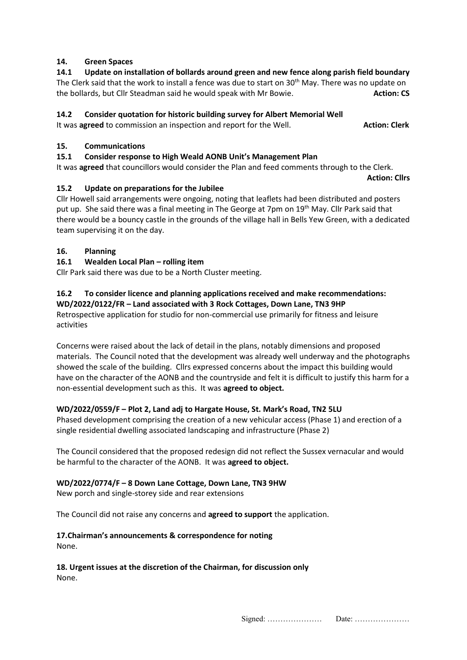## **14. Green Spaces**

**14.1 Update on installation of bollards around green and new fence along parish field boundary**  The Clerk said that the work to install a fence was due to start on 30<sup>th</sup> May. There was no update on the bollards, but Cllr Steadman said he would speak with Mr Bowie. **Action: CS**

## **14.2 Consider quotation for historic building survey for Albert Memorial Well**

It was **agreed** to commission an inspection and report for the Well. **Action: Clerk** 

#### **15. Communications**

#### **15.1 Consider response to High Weald AONB Unit's Management Plan**

It was **agreed** that councillors would consider the Plan and feed comments through to the Clerk.

**Action: Cllrs**

## **15.2 Update on preparations for the Jubilee**

Cllr Howell said arrangements were ongoing, noting that leaflets had been distributed and posters put up. She said there was a final meeting in The George at 7pm on 19<sup>th</sup> May. Cllr Park said that there would be a bouncy castle in the grounds of the village hall in Bells Yew Green, with a dedicated team supervising it on the day.

## **16. Planning**

## **16.1 Wealden Local Plan – rolling item**

Cllr Park said there was due to be a North Cluster meeting.

#### **16.2 To consider licence and planning applications received and make recommendations: WD/2022/0122/FR – Land associated with 3 Rock Cottages, Down Lane, TN3 9HP**

Retrospective application for studio for non-commercial use primarily for fitness and leisure activities

Concerns were raised about the lack of detail in the plans, notably dimensions and proposed materials. The Council noted that the development was already well underway and the photographs showed the scale of the building. Cllrs expressed concerns about the impact this building would have on the character of the AONB and the countryside and felt it is difficult to justify this harm for a non-essential development such as this. It was **agreed to object.**

## **WD/2022/0559/F – Plot 2, Land adj to Hargate House, St. Mark's Road, TN2 5LU**

Phased development comprising the creation of a new vehicular access (Phase 1) and erection of a single residential dwelling associated landscaping and infrastructure (Phase 2)

The Council considered that the proposed redesign did not reflect the Sussex vernacular and would be harmful to the character of the AONB. It was **agreed to object.**

## **WD/2022/0774/F – 8 Down Lane Cottage, Down Lane, TN3 9HW**

New porch and single-storey side and rear extensions

The Council did not raise any concerns and **agreed to support** the application.

#### **17.Chairman's announcements & correspondence for noting**  None.

**18. Urgent issues at the discretion of the Chairman, for discussion only** None.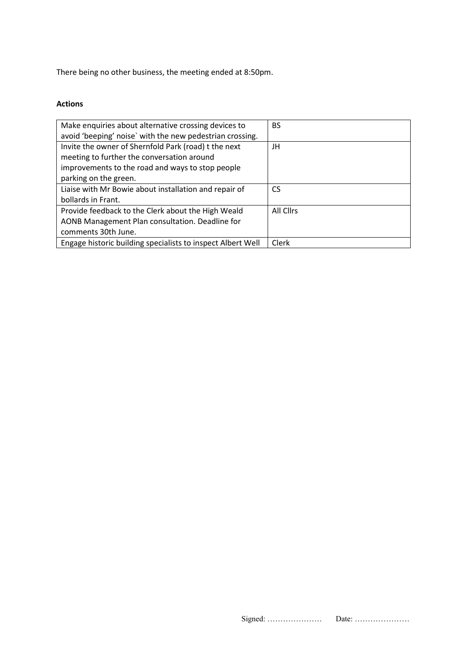There being no other business, the meeting ended at 8:50pm.

## **Actions**

| Make enquiries about alternative crossing devices to        | <b>BS</b> |
|-------------------------------------------------------------|-----------|
| avoid 'beeping' noise' with the new pedestrian crossing.    |           |
| Invite the owner of Shernfold Park (road) t the next        | JH        |
| meeting to further the conversation around                  |           |
| improvements to the road and ways to stop people            |           |
| parking on the green.                                       |           |
| Liaise with Mr Bowie about installation and repair of       | CS        |
| bollards in Frant.                                          |           |
| Provide feedback to the Clerk about the High Weald          | All Clirs |
| AONB Management Plan consultation. Deadline for             |           |
| comments 30th June.                                         |           |
| Engage historic building specialists to inspect Albert Well | Clerk     |

| Date<br>$S1$ gned: |
|--------------------|
|--------------------|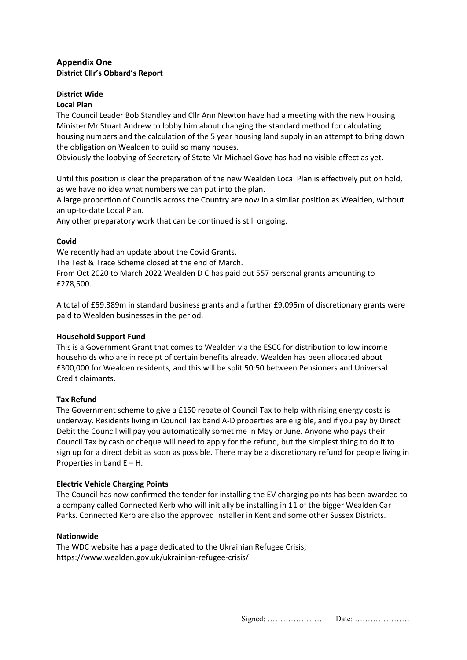## **Appendix One District Cllr's Obbard's Report**

# **District Wide**

## **Local Plan**

The Council Leader Bob Standley and Cllr Ann Newton have had a meeting with the new Housing Minister Mr Stuart Andrew to lobby him about changing the standard method for calculating housing numbers and the calculation of the 5 year housing land supply in an attempt to bring down the obligation on Wealden to build so many houses.

Obviously the lobbying of Secretary of State Mr Michael Gove has had no visible effect as yet.

Until this position is clear the preparation of the new Wealden Local Plan is effectively put on hold, as we have no idea what numbers we can put into the plan.

A large proportion of Councils across the Country are now in a similar position as Wealden, without an up-to-date Local Plan.

Any other preparatory work that can be continued is still ongoing.

## **Covid**

We recently had an update about the Covid Grants. The Test & Trace Scheme closed at the end of March. From Oct 2020 to March 2022 Wealden D C has paid out 557 personal grants amounting to £278,500.

A total of £59.389m in standard business grants and a further £9.095m of discretionary grants were paid to Wealden businesses in the period.

## **Household Support Fund**

This is a Government Grant that comes to Wealden via the ESCC for distribution to low income households who are in receipt of certain benefits already. Wealden has been allocated about £300,000 for Wealden residents, and this will be split 50:50 between Pensioners and Universal Credit claimants.

## **Tax Refund**

The Government scheme to give a £150 rebate of Council Tax to help with rising energy costs is underway. Residents living in Council Tax band A-D properties are eligible, and if you pay by Direct Debit the Council will pay you automatically sometime in May or June. Anyone who pays their Council Tax by cash or cheque will need to apply for the refund, but the simplest thing to do it to sign up for a direct debit as soon as possible. There may be a discretionary refund for people living in Properties in band  $E - H$ .

## **Electric Vehicle Charging Points**

The Council has now confirmed the tender for installing the EV charging points has been awarded to a company called Connected Kerb who will initially be installing in 11 of the bigger Wealden Car Parks. Connected Kerb are also the approved installer in Kent and some other Sussex Districts.

## **Nationwide**

The WDC website has a page dedicated to the Ukrainian Refugee Crisis; <https://www.wealden.gov.uk/ukrainian-refugee-crisis/>